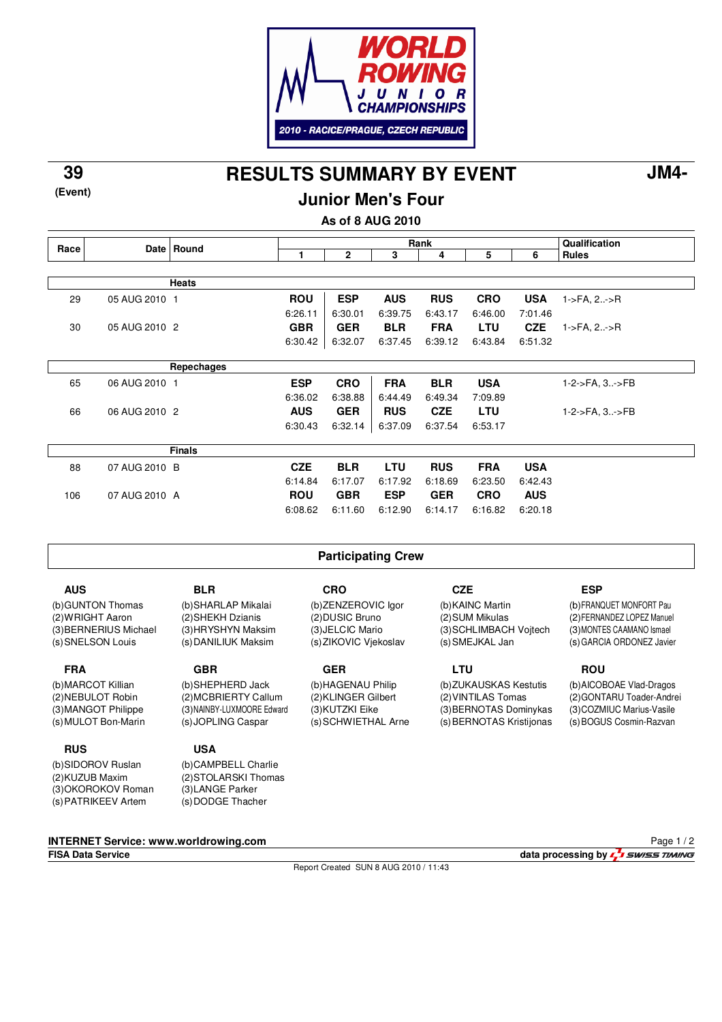

**RESULTS SUMMARY BY EVENT 39 JM4-**

**(Event)**

**Junior Men's Four**

**As of 8 AUG 2010**

|                                       |               | Date Round         | Rank                                  |                           |                 |                  |            | Qualification              |                                           |
|---------------------------------------|---------------|--------------------|---------------------------------------|---------------------------|-----------------|------------------|------------|----------------------------|-------------------------------------------|
| Race                                  |               |                    | 1                                     | $\mathbf{2}$              | 3               | 4                | 5          | 6                          | <b>Rules</b>                              |
|                                       |               |                    |                                       |                           |                 |                  |            |                            |                                           |
|                                       |               | <b>Heats</b>       |                                       |                           |                 |                  |            |                            |                                           |
| 29                                    | 05 AUG 2010 1 |                    | <b>ROU</b>                            | <b>ESP</b>                | <b>AUS</b>      | <b>RUS</b>       | <b>CRO</b> | <b>USA</b>                 | 1->FA, 2->R                               |
|                                       |               |                    | 6:26.11                               | 6:30.01                   | 6:39.75         | 6:43.17          | 6:46.00    | 7:01.46                    |                                           |
| 30                                    | 05 AUG 2010 2 |                    | <b>GBR</b>                            | <b>GER</b>                | <b>BLR</b>      | <b>FRA</b>       | LTU        | <b>CZE</b>                 | $1 - \frac{1}{2}$ FA, $2 - \frac{1}{2}$ R |
|                                       |               |                    | 6:30.42                               | 6:32.07                   | 6:37.45         | 6:39.12          | 6:43.84    | 6:51.32                    |                                           |
|                                       |               |                    |                                       |                           |                 |                  |            |                            |                                           |
|                                       |               | Repechages         |                                       |                           |                 |                  |            |                            |                                           |
| 65                                    | 06 AUG 2010 1 |                    | <b>ESP</b>                            | <b>CRO</b>                | <b>FRA</b>      | <b>BLR</b>       | <b>USA</b> |                            | 1-2->FA, 3->FB                            |
|                                       |               |                    | 6:36.02                               | 6:38.88                   | 6:44.49         | 6:49.34          | 7:09.89    |                            |                                           |
| 66                                    | 06 AUG 2010 2 |                    | <b>AUS</b>                            | <b>GER</b>                | <b>RUS</b>      | <b>CZE</b>       | LTU        |                            | 1-2->FA, 3->FB                            |
|                                       |               |                    | 6:30.43                               | 6:32.14                   | 6:37.09         | 6:37.54          | 6:53.17    |                            |                                           |
|                                       |               |                    |                                       |                           |                 |                  |            |                            |                                           |
|                                       |               | <b>Finals</b>      |                                       |                           |                 |                  |            |                            |                                           |
| 88                                    | 07 AUG 2010 B |                    | <b>CZE</b>                            | <b>BLR</b>                | <b>LTU</b>      | <b>RUS</b>       | <b>FRA</b> | <b>USA</b>                 |                                           |
|                                       |               |                    | 6:14.84                               | 6:17.07                   | 6:17.92         | 6:18.69          | 6:23.50    | 6:42.43                    |                                           |
| 106                                   | 07 AUG 2010 A |                    | <b>ROU</b>                            | <b>GBR</b>                | <b>ESP</b>      | <b>GER</b>       | <b>CRO</b> | <b>AUS</b>                 |                                           |
|                                       |               |                    | 6:08.62                               | 6:11.60                   | 6:12.90         | 6:14.17          | 6:16.82    | 6:20.18                    |                                           |
|                                       |               |                    |                                       |                           |                 |                  |            |                            |                                           |
|                                       |               |                    |                                       |                           |                 |                  |            |                            |                                           |
|                                       |               |                    |                                       | <b>Participating Crew</b> |                 |                  |            |                            |                                           |
| <b>AUS</b>                            |               | <b>BLR</b>         |                                       | <b>CRO</b>                |                 | <b>CZE</b>       |            |                            | <b>ESP</b>                                |
|                                       |               | (b)SHARLAP Mikalai |                                       |                           |                 | (b) KAINC Martin |            |                            | (b) FRANQUET MONFORT Pau                  |
| (b) GUNTON Thomas<br>(2) WRIGHT Aaron |               | (2)SHEKH Dzianis   | (b)ZENZEROVIC Igor<br>(2) DUSIC Bruno |                           | (2) SUM Mikulas |                  |            | (2) FERNANDEZ LOPEZ Manuel |                                           |
|                                       |               |                    |                                       |                           |                 |                  |            |                            |                                           |

(3) BERNERIUS Michael (s) SNELSON Louis

**FRA**

(b) MARCOT Killian (2) NEBULOT Robin (3) MANGOT Philippe (s) MULOT Bon-Marin

## **RUS**

(b) SIDOROV Ruslan (2) KUZUB Maxim (3) OKOROKOV Roman (s) PATRIKEEV Artem

(3) HRYSHYN Maksim (s) DANILIUK Maksim

**GBR** (b) SHEPHERD Jack (2) MCBRIERTY Callum (3) NAINBY-LUXMOORE Edward

**USA**

(s) JOPLING Caspar

(b) CAMPBELL Charlie (2) STOLARSKI Thomas (3) LANGE Parker (s) DODGE Thacher

(3) JELCIC Mario (s) ZIKOVIC Vjekoslav

**GER** (b) HAGENAU Philip (2) KLINGER Gilbert (3) KUTZKI Eike (s) SCHWIETHAL Arne

## (3) SCHLIMBACH Vojtech (s) SMEJKAL Jan

**LTU** (b) ZUKAUSKAS Kestutis (2) VINTILAS Tomas (3) BERNOTAS Dominykas (s) BERNOTAS Kristijonas (3) MONTES CAAMANO Ismael (s) GARCIA ORDONEZ Javier

**ROU**

(b) AICOBOAE Vlad-Dragos (2) GONTARU Toader-Andrei (3) COZMIUC Marius-Vasile (s) BOGUS Cosmin-Razvan

**INTERNET Service: www.worldrowing.com**

Report Created SUN 8 AUG 2010 / 11:43

Page 1 / 2

**FISA Data Service data processing by**  $\frac{1}{2}$  *swiss TIMING*